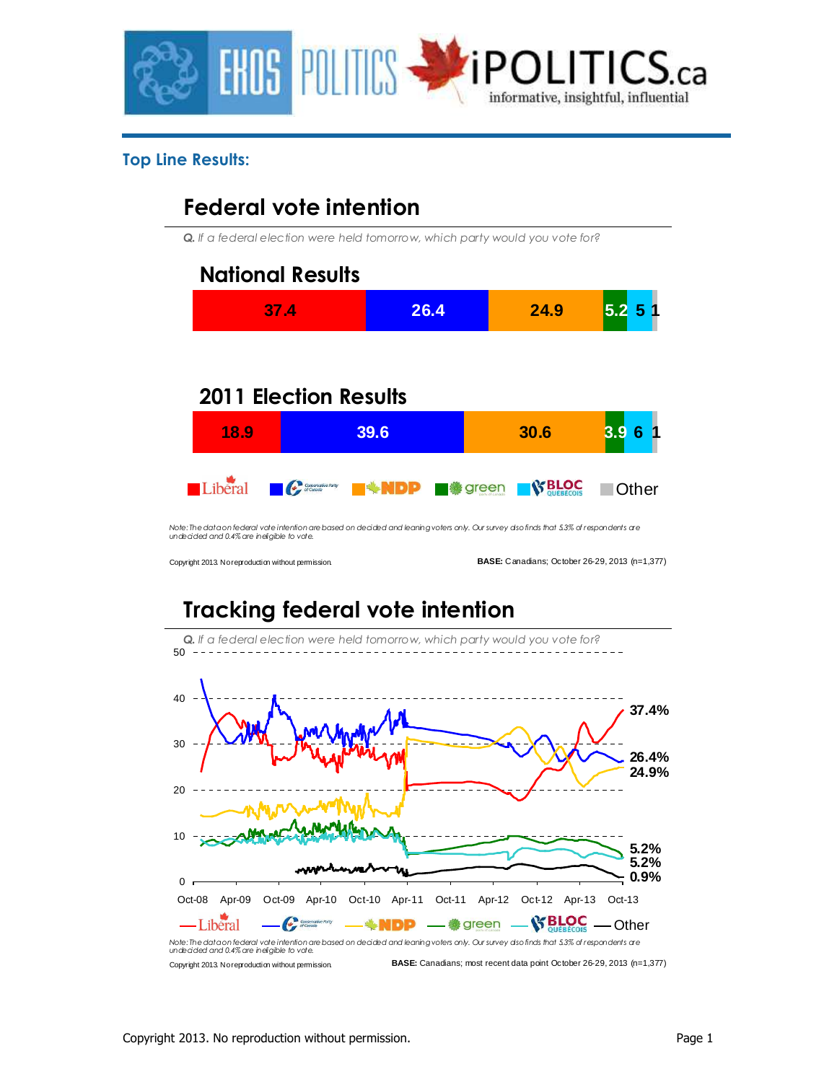

#### **Top Line Results:**

## **Federal vote intention**

*Q. If a federal election were held tomorrow, which party would you vote for?*



*Note: The data on federal vote intention are based on decided and leaning voters only. Our survey also finds that 5.3% of respondents are undecided and 0.4% are ineligible to vote.*

Copyright 2013. No reproduction without permission.

**BASE:** Canadians; October 26-29, 2013 (n=1,377)

# **Tracking federal vote intention**

*Q. If a federal election were held tomorrow, which party would you vote for?* 50 40 **37.4%** 30 **26.4% 24.9%** 20 10 **5.2% 5.2% www. 0.9%**  $0<sub>r</sub>$ Oct-08 Apr-09 Oct-09 Apr-10 Oct-10 Apr-11 Oct-11 Apr-12 Oct-12 Apr-13 Oct-13  $\text{Libéral}$   $\longrightarrow$   $\mathcal{C}$   $\text{sum}$   $\longrightarrow$   $\text{NDP}$   $\longrightarrow$   $\text{log}$  green  $\longrightarrow$   $\text{N BLOC}$   $\longrightarrow$  Other *Note: The data on federal vote intention are based on decided and leaning voters only. Our survey also finds that 5.3% of respondents are undecided and 0.4% are ineligible to vote.*

Copyright 2013. No reproduction without permission. **BASE:** Canadians; most recent data point October 26-29, 2013 (n=1,377)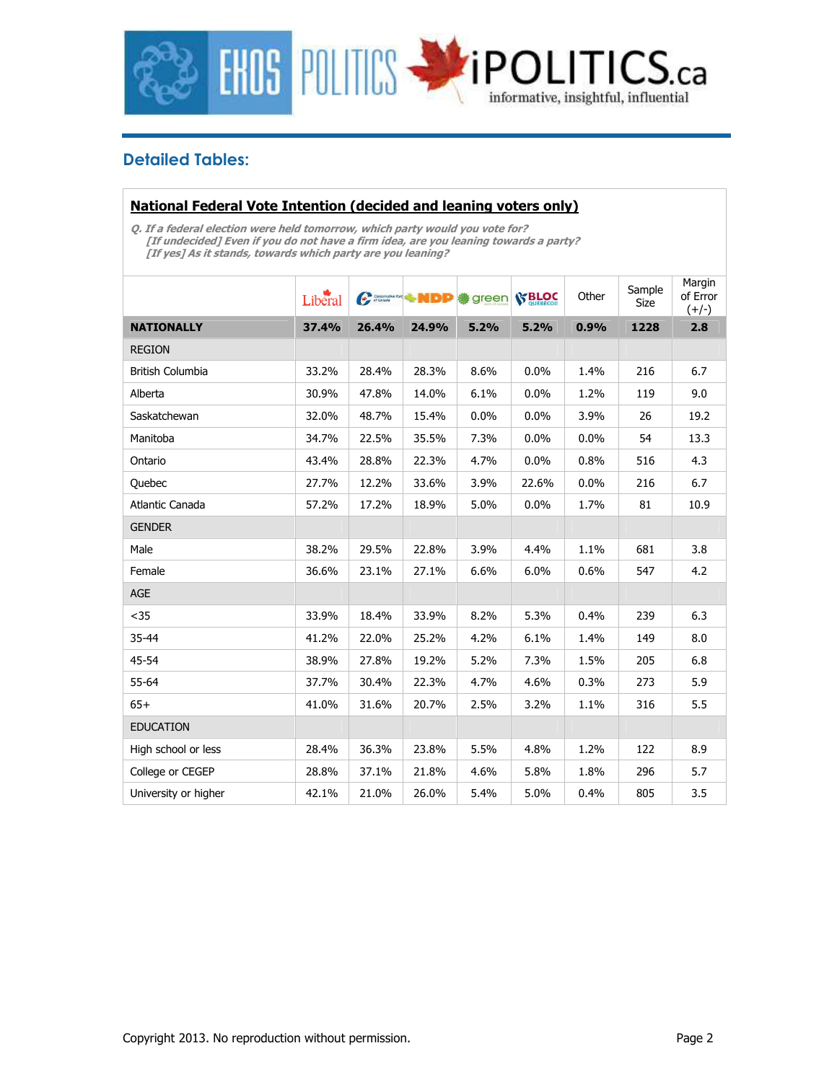

### **Detailed Tables:**

#### **National Federal Vote Intention (decided and leaning voters only)**

**Q. If a federal election were held tomorrow, which party would you vote for? [If undecided] Even if you do not have a firm idea, are you leaning towards a party? [If yes] As it stands, towards which party are you leaning?** 

|                         | Liberal |       | Communication of MDP | green | <b>SS BLOC</b> | Other | Sample<br>Size | Margin<br>of Error<br>$(+/-)$ |
|-------------------------|---------|-------|----------------------|-------|----------------|-------|----------------|-------------------------------|
| <b>NATIONALLY</b>       | 37.4%   | 26.4% | 24.9%                | 5.2%  | 5.2%           | 0.9%  | 1228           | 2.8                           |
| <b>REGION</b>           |         |       |                      |       |                |       |                |                               |
| <b>British Columbia</b> | 33.2%   | 28.4% | 28.3%                | 8.6%  | 0.0%           | 1.4%  | 216            | 6.7                           |
| Alberta                 | 30.9%   | 47.8% | 14.0%                | 6.1%  | 0.0%           | 1.2%  | 119            | 9.0                           |
| Saskatchewan            | 32.0%   | 48.7% | 15.4%                | 0.0%  | 0.0%           | 3.9%  | 26             | 19.2                          |
| Manitoba                | 34.7%   | 22.5% | 35.5%                | 7.3%  | 0.0%           | 0.0%  | 54             | 13.3                          |
| Ontario                 | 43.4%   | 28.8% | 22.3%                | 4.7%  | 0.0%           | 0.8%  | 516            | 4.3                           |
| Quebec                  | 27.7%   | 12.2% | 33.6%                | 3.9%  | 22.6%          | 0.0%  | 216            | 6.7                           |
| Atlantic Canada         | 57.2%   | 17.2% | 18.9%                | 5.0%  | 0.0%           | 1.7%  | 81             | 10.9                          |
| <b>GENDER</b>           |         |       |                      |       |                |       |                |                               |
| Male                    | 38.2%   | 29.5% | 22.8%                | 3.9%  | 4.4%           | 1.1%  | 681            | 3.8                           |
| Female                  | 36.6%   | 23.1% | 27.1%                | 6.6%  | 6.0%           | 0.6%  | 547            | 4.2                           |
| <b>AGE</b>              |         |       |                      |       |                |       |                |                               |
| $35$                    | 33.9%   | 18.4% | 33.9%                | 8.2%  | 5.3%           | 0.4%  | 239            | 6.3                           |
| 35-44                   | 41.2%   | 22.0% | 25.2%                | 4.2%  | 6.1%           | 1.4%  | 149            | 8.0                           |
| 45-54                   | 38.9%   | 27.8% | 19.2%                | 5.2%  | 7.3%           | 1.5%  | 205            | 6.8                           |
| 55-64                   | 37.7%   | 30.4% | 22.3%                | 4.7%  | 4.6%           | 0.3%  | 273            | 5.9                           |
| $65+$                   | 41.0%   | 31.6% | 20.7%                | 2.5%  | 3.2%           | 1.1%  | 316            | 5.5                           |
| <b>EDUCATION</b>        |         |       |                      |       |                |       |                |                               |
| High school or less     | 28.4%   | 36.3% | 23.8%                | 5.5%  | 4.8%           | 1.2%  | 122            | 8.9                           |
| College or CEGEP        | 28.8%   | 37.1% | 21.8%                | 4.6%  | 5.8%           | 1.8%  | 296            | 5.7                           |
| University or higher    | 42.1%   | 21.0% | 26.0%                | 5.4%  | 5.0%           | 0.4%  | 805            | 3.5                           |